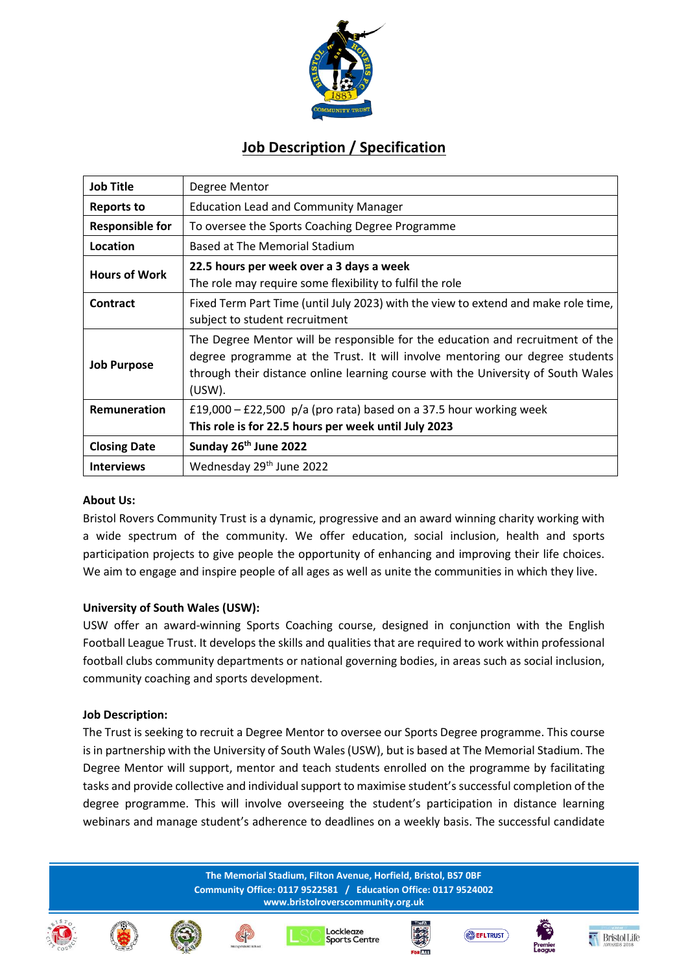

# **Job Description / Specification**

| <b>Job Title</b>       | Degree Mentor                                                                                                                                                                                                                                                   |
|------------------------|-----------------------------------------------------------------------------------------------------------------------------------------------------------------------------------------------------------------------------------------------------------------|
| <b>Reports to</b>      | <b>Education Lead and Community Manager</b>                                                                                                                                                                                                                     |
| <b>Responsible for</b> | To oversee the Sports Coaching Degree Programme                                                                                                                                                                                                                 |
| Location               | Based at The Memorial Stadium                                                                                                                                                                                                                                   |
| <b>Hours of Work</b>   | 22.5 hours per week over a 3 days a week<br>The role may require some flexibility to fulfil the role                                                                                                                                                            |
| Contract               | Fixed Term Part Time (until July 2023) with the view to extend and make role time,<br>subject to student recruitment                                                                                                                                            |
| <b>Job Purpose</b>     | The Degree Mentor will be responsible for the education and recruitment of the<br>degree programme at the Trust. It will involve mentoring our degree students<br>through their distance online learning course with the University of South Wales<br>$(USW)$ . |
| Remuneration           | £19,000 – £22,500 $p/a$ (pro rata) based on a 37.5 hour working week<br>This role is for 22.5 hours per week until July 2023                                                                                                                                    |
| <b>Closing Date</b>    | Sunday 26 <sup>th</sup> June 2022                                                                                                                                                                                                                               |
| <b>Interviews</b>      | Wednesday 29th June 2022                                                                                                                                                                                                                                        |

#### **About Us:**

Bristol Rovers Community Trust is a dynamic, progressive and an award winning charity working with a wide spectrum of the community. We offer education, social inclusion, health and sports participation projects to give people the opportunity of enhancing and improving their life choices. We aim to engage and inspire people of all ages as well as unite the communities in which they live.

#### **University of South Wales (USW):**

USW offer an award-winning Sports Coaching course, designed in conjunction with the English Football League Trust. It develops the skills and qualities that are required to work within professional football clubs community departments or national governing bodies, in areas such as social inclusion, community coaching and sports development.

#### **Job Description:**

The Trust is seeking to recruit a Degree Mentor to oversee our Sports Degree programme. This course is in partnership with the University of South Wales (USW), but is based at The Memorial Stadium. The Degree Mentor will support, mentor and teach students enrolled on the programme by facilitating tasks and provide collective and individual support to maximise student's successful completion of the degree programme. This will involve overseeing the student's participation in distance learning webinars and manage student's adherence to deadlines on a weekly basis. The successful candidate

> **The Memorial Stadium, Filton Avenue, Horfield, Bristol, BS7 0BF Community Office: 0117 9522581 / Education Office: 0117 9524002 www.bristolroverscommunity.org.uk**

















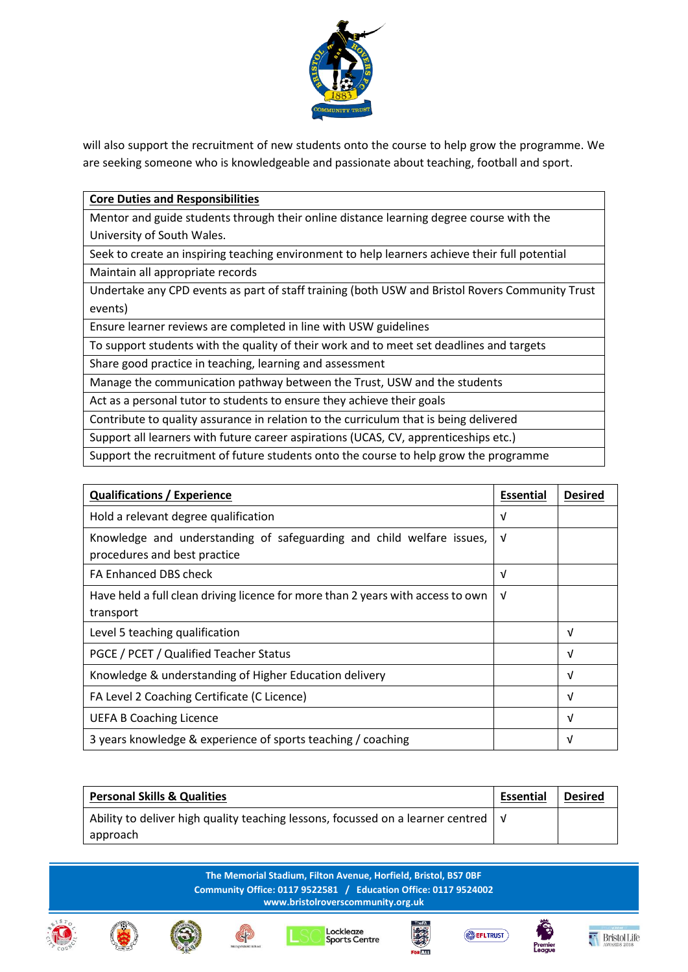

will also support the recruitment of new students onto the course to help grow the programme. We are seeking someone who is knowledgeable and passionate about teaching, football and sport.

### **Core Duties and Responsibilities**

Mentor and guide students through their online distance learning degree course with the University of South Wales.

Seek to create an inspiring teaching environment to help learners achieve their full potential Maintain all appropriate records

Undertake any CPD events as part of staff training (both USW and Bristol Rovers Community Trust events)

Ensure learner reviews are completed in line with USW guidelines

To support students with the quality of their work and to meet set deadlines and targets

Share good practice in teaching, learning and assessment

Manage the communication pathway between the Trust, USW and the students

Act as a personal tutor to students to ensure they achieve their goals

Contribute to quality assurance in relation to the curriculum that is being delivered

Support all learners with future career aspirations (UCAS, CV, apprenticeships etc.)

Support the recruitment of future students onto the course to help grow the programme

| <b>Qualifications / Experience</b>                                                                    |  | <b>Desired</b> |
|-------------------------------------------------------------------------------------------------------|--|----------------|
| Hold a relevant degree qualification                                                                  |  |                |
| Knowledge and understanding of safeguarding and child welfare issues,<br>procedures and best practice |  |                |
| FA Enhanced DBS check                                                                                 |  |                |
| Have held a full clean driving licence for more than 2 years with access to own<br>transport          |  |                |
| Level 5 teaching qualification                                                                        |  | V              |
| PGCE / PCET / Qualified Teacher Status                                                                |  | V              |
| Knowledge & understanding of Higher Education delivery                                                |  | V              |
| FA Level 2 Coaching Certificate (C Licence)                                                           |  | V              |
| <b>UEFA B Coaching Licence</b>                                                                        |  | V              |
| 3 years knowledge & experience of sports teaching / coaching                                          |  | ν              |

| <b>Personal Skills &amp; Qualities</b>                                                             |  | <b>Desired</b> |
|----------------------------------------------------------------------------------------------------|--|----------------|
| Ability to deliver high quality teaching lessons, focussed on a learner centred $\vert \vee \vert$ |  |                |
| approach                                                                                           |  |                |